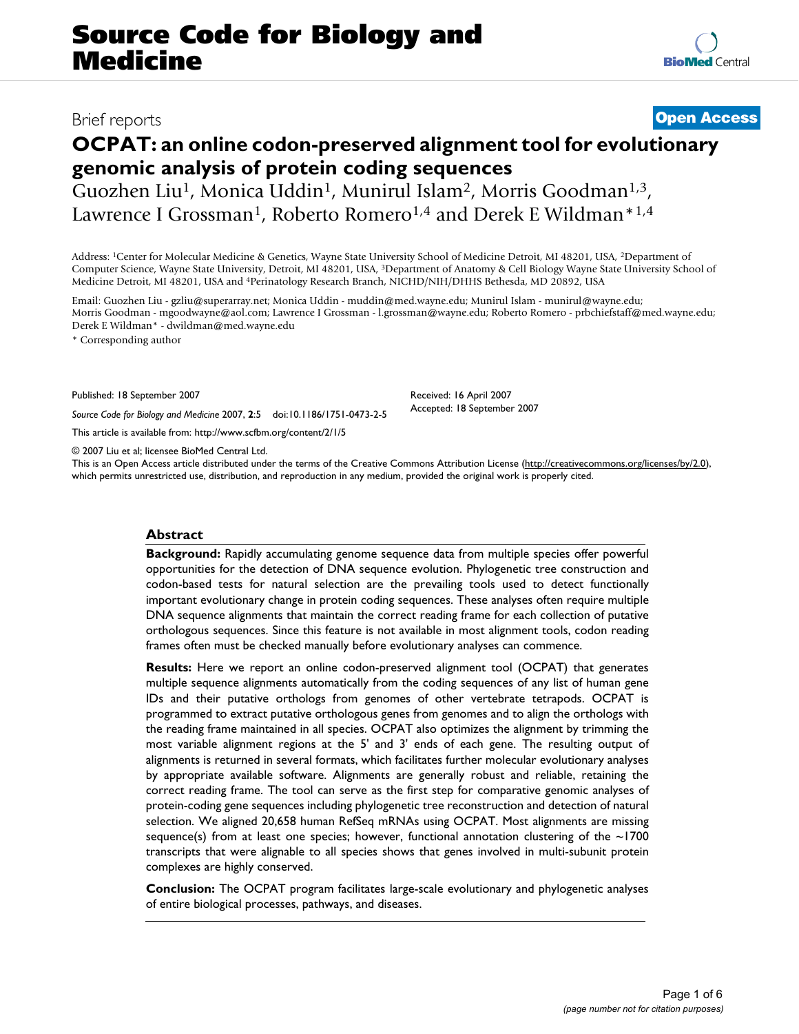# **OCPAT: an online codon-preserved alignment tool for evolutionary genomic analysis of protein coding sequences**

Guozhen Liu<sup>1</sup>, Monica Uddin<sup>1</sup>, Munirul Islam<sup>2</sup>, Morris Goodman<sup>1,3</sup>, Lawrence I Grossman<sup>1</sup>, Roberto Romero<sup>1,4</sup> and Derek E Wildman<sup>\*1,4</sup>

Address: 1Center for Molecular Medicine & Genetics, Wayne State University School of Medicine Detroit, MI 48201, USA, 2Department of Computer Science, Wayne State University, Detroit, MI 48201, USA, 3Department of Anatomy & Cell Biology Wayne State University School of Medicine Detroit, MI 48201, USA and 4Perinatology Research Branch, NICHD/NIH/DHHS Bethesda, MD 20892, USA

Email: Guozhen Liu - gzliu@superarray.net; Monica Uddin - muddin@med.wayne.edu; Munirul Islam - munirul@wayne.edu; Morris Goodman - mgoodwayne@aol.com; Lawrence I Grossman - l.grossman@wayne.edu; Roberto Romero - prbchiefstaff@med.wayne.edu; Derek E Wildman\* - dwildman@med.wayne.edu

\* Corresponding author

Published: 18 September 2007

*Source Code for Biology and Medicine* 2007, **2**:5 doi:10.1186/1751-0473-2-5

[This article is available from: http://www.scfbm.org/content/2/1/5](http://www.scfbm.org/content/2/1/5)

© 2007 Liu et al; licensee BioMed Central Ltd.

This is an Open Access article distributed under the terms of the Creative Commons Attribution License [\(http://creativecommons.org/licenses/by/2.0\)](http://creativecommons.org/licenses/by/2.0), which permits unrestricted use, distribution, and reproduction in any medium, provided the original work is properly cited.

#### **Abstract**

**Background:** Rapidly accumulating genome sequence data from multiple species offer powerful opportunities for the detection of DNA sequence evolution. Phylogenetic tree construction and codon-based tests for natural selection are the prevailing tools used to detect functionally important evolutionary change in protein coding sequences. These analyses often require multiple DNA sequence alignments that maintain the correct reading frame for each collection of putative orthologous sequences. Since this feature is not available in most alignment tools, codon reading frames often must be checked manually before evolutionary analyses can commence.

**Results:** Here we report an online codon-preserved alignment tool (OCPAT) that generates multiple sequence alignments automatically from the coding sequences of any list of human gene IDs and their putative orthologs from genomes of other vertebrate tetrapods. OCPAT is programmed to extract putative orthologous genes from genomes and to align the orthologs with the reading frame maintained in all species. OCPAT also optimizes the alignment by trimming the most variable alignment regions at the 5' and 3' ends of each gene. The resulting output of alignments is returned in several formats, which facilitates further molecular evolutionary analyses by appropriate available software. Alignments are generally robust and reliable, retaining the correct reading frame. The tool can serve as the first step for comparative genomic analyses of protein-coding gene sequences including phylogenetic tree reconstruction and detection of natural selection. We aligned 20,658 human RefSeq mRNAs using OCPAT. Most alignments are missing sequence(s) from at least one species; however, functional annotation clustering of the  $\sim$ 1700 transcripts that were alignable to all species shows that genes involved in multi-subunit protein complexes are highly conserved.

**Conclusion:** The OCPAT program facilitates large-scale evolutionary and phylogenetic analyses of entire biological processes, pathways, and diseases.

## Brief reports **[Open Access](http://www.biomedcentral.com/info/about/charter/)**

Received: 16 April 2007 Accepted: 18 September 2007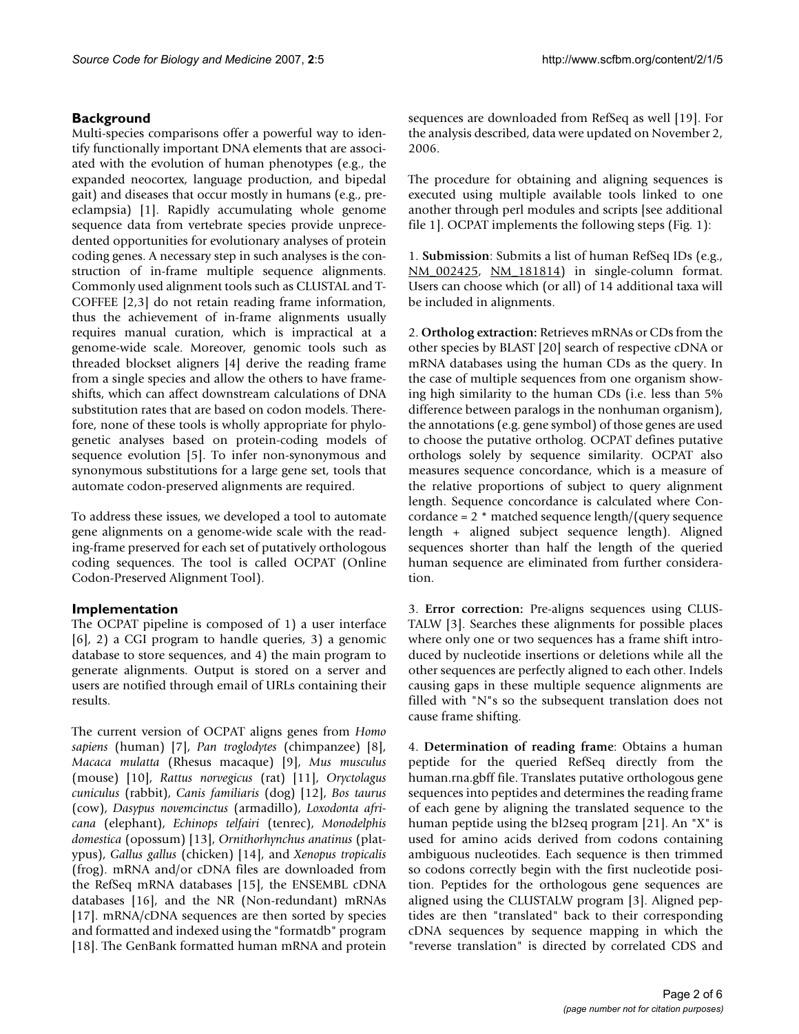### **Background**

Multi-species comparisons offer a powerful way to identify functionally important DNA elements that are associated with the evolution of human phenotypes (e.g., the expanded neocortex, language production, and bipedal gait) and diseases that occur mostly in humans (e.g., preeclampsia) [1]. Rapidly accumulating whole genome sequence data from vertebrate species provide unprecedented opportunities for evolutionary analyses of protein coding genes. A necessary step in such analyses is the construction of in-frame multiple sequence alignments. Commonly used alignment tools such as CLUSTAL and T-COFFEE [2,3] do not retain reading frame information, thus the achievement of in-frame alignments usually requires manual curation, which is impractical at a genome-wide scale. Moreover, genomic tools such as threaded blockset aligners [4] derive the reading frame from a single species and allow the others to have frameshifts, which can affect downstream calculations of DNA substitution rates that are based on codon models. Therefore, none of these tools is wholly appropriate for phylogenetic analyses based on protein-coding models of sequence evolution [5]. To infer non-synonymous and synonymous substitutions for a large gene set, tools that automate codon-preserved alignments are required.

To address these issues, we developed a tool to automate gene alignments on a genome-wide scale with the reading-frame preserved for each set of putatively orthologous coding sequences. The tool is called OCPAT (Online Codon-Preserved Alignment Tool).

#### **Implementation**

The OCPAT pipeline is composed of 1) a user interface [6], 2) a CGI program to handle queries, 3) a genomic database to store sequences, and 4) the main program to generate alignments. Output is stored on a server and users are notified through email of URLs containing their results.

The current version of OCPAT aligns genes from *Homo sapiens* (human) [7], *Pan troglodytes* (chimpanzee) [8], *Macaca mulatta* (Rhesus macaque) [9], *Mus musculus* (mouse) [10], *Rattus norvegicus* (rat) [11], *Oryctolagus cuniculus* (rabbit), *Canis familiaris* (dog) [12], *Bos taurus* (cow), *Dasypus novemcinctus* (armadillo), *Loxodonta africana* (elephant), *Echinops telfairi* (tenrec), *Monodelphis domestica* (opossum) [13], *Ornithorhynchus anatinus* (platypus), *Gallus gallus* (chicken) [14], and *Xenopus tropicalis* (frog). mRNA and/or cDNA files are downloaded from the RefSeq mRNA databases [15], the ENSEMBL cDNA databases [16], and the NR (Non-redundant) mRNAs [17]. mRNA/cDNA sequences are then sorted by species and formatted and indexed using the "formatdb" program [18]. The GenBank formatted human mRNA and protein

sequences are downloaded from RefSeq as well [19]. For the analysis described, data were updated on November 2, 2006.

The procedure for obtaining and aligning sequences is executed using multiple available tools linked to one another through perl modules and scripts [see additional file 1]. OCPAT implements the following steps (Fig. 1):

1. **Submission**: Submits a list of human RefSeq IDs (e.g., [NM\\_002425,](http://www.ncbi.nih.gov/entrez/query.fcgi?db=Nucleotide&cmd=search&term=NM_002425) [NM\\_181814\)](http://www.ncbi.nih.gov/entrez/query.fcgi?db=Nucleotide&cmd=search&term=NM_181814) in single-column format. Users can choose which (or all) of 14 additional taxa will be included in alignments.

2. **Ortholog extraction:** Retrieves mRNAs or CDs from the other species by BLAST [20] search of respective cDNA or mRNA databases using the human CDs as the query. In the case of multiple sequences from one organism showing high similarity to the human CDs (i.e. less than 5% difference between paralogs in the nonhuman organism), the annotations (e.g. gene symbol) of those genes are used to choose the putative ortholog. OCPAT defines putative orthologs solely by sequence similarity. OCPAT also measures sequence concordance, which is a measure of the relative proportions of subject to query alignment length. Sequence concordance is calculated where Concordance = 2 \* matched sequence length/(query sequence length + aligned subject sequence length). Aligned sequences shorter than half the length of the queried human sequence are eliminated from further consideration.

3. **Error correction:** Pre-aligns sequences using CLUS-TALW [3]. Searches these alignments for possible places where only one or two sequences has a frame shift introduced by nucleotide insertions or deletions while all the other sequences are perfectly aligned to each other. Indels causing gaps in these multiple sequence alignments are filled with "N"s so the subsequent translation does not cause frame shifting.

4. **Determination of reading frame**: Obtains a human peptide for the queried RefSeq directly from the human.rna.gbff file. Translates putative orthologous gene sequences into peptides and determines the reading frame of each gene by aligning the translated sequence to the human peptide using the bl2seq program [21]. An "X" is used for amino acids derived from codons containing ambiguous nucleotides. Each sequence is then trimmed so codons correctly begin with the first nucleotide position. Peptides for the orthologous gene sequences are aligned using the CLUSTALW program [3]. Aligned peptides are then "translated" back to their corresponding cDNA sequences by sequence mapping in which the "reverse translation" is directed by correlated CDS and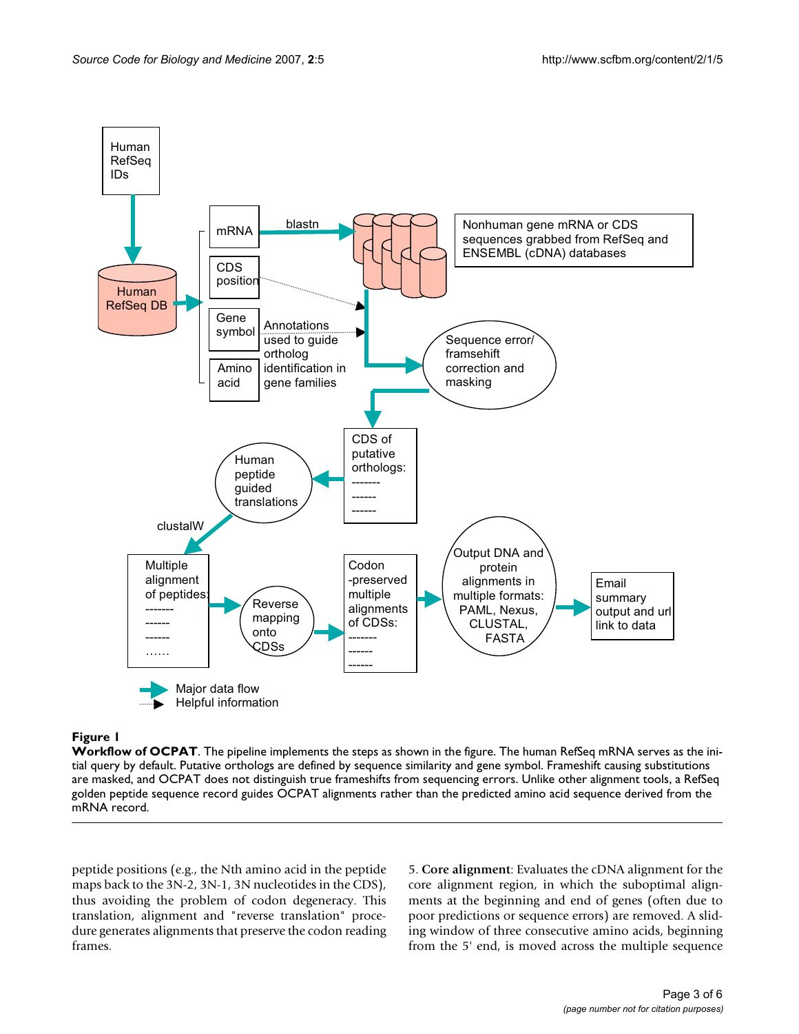

#### **Figure 1**

**Workflow of OCPAT**. The pipeline implements the steps as shown in the figure. The human RefSeq mRNA serves as the initial query by default. Putative orthologs are defined by sequence similarity and gene symbol. Frameshift causing substitutions are masked, and OCPAT does not distinguish true frameshifts from sequencing errors. Unlike other alignment tools, a RefSeq golden peptide sequence record guides OCPAT alignments rather than the predicted amino acid sequence derived from the mRNA record.

peptide positions (e.g., the Nth amino acid in the peptide maps back to the 3N-2, 3N-1, 3N nucleotides in the CDS), thus avoiding the problem of codon degeneracy. This translation, alignment and "reverse translation" procedure generates alignments that preserve the codon reading frames.

5. **Core alignment**: Evaluates the cDNA alignment for the core alignment region, in which the suboptimal alignments at the beginning and end of genes (often due to poor predictions or sequence errors) are removed. A sliding window of three consecutive amino acids, beginning from the 5' end, is moved across the multiple sequence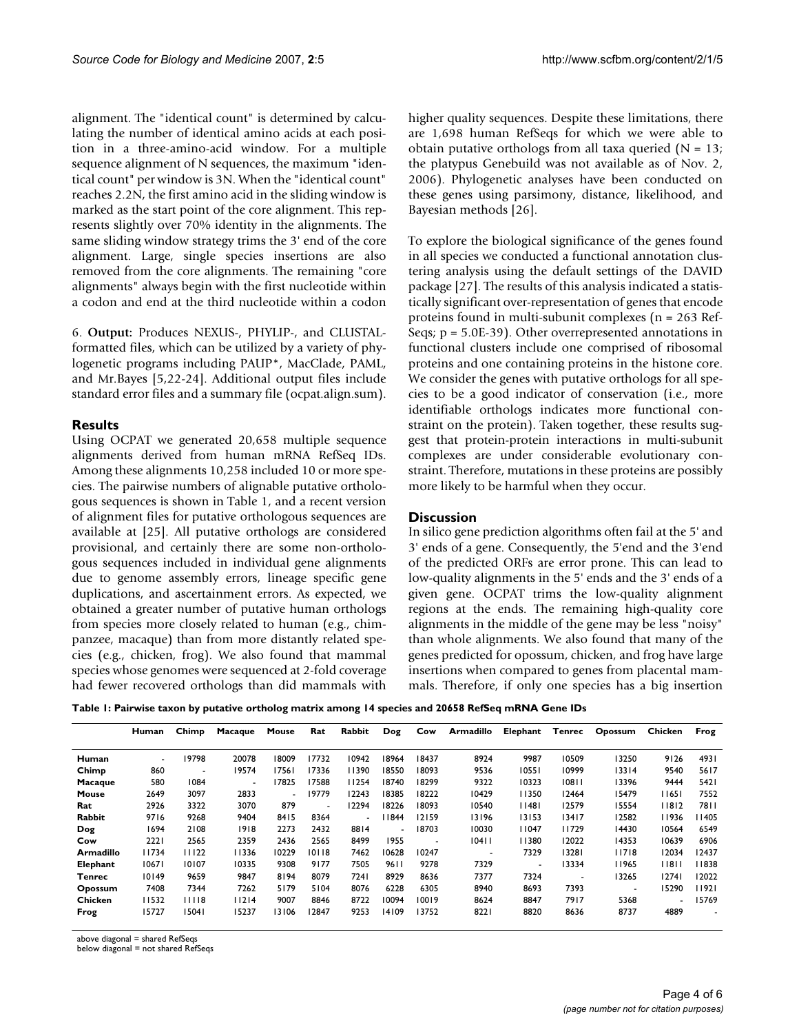alignment. The "identical count" is determined by calculating the number of identical amino acids at each position in a three-amino-acid window. For a multiple sequence alignment of N sequences, the maximum "identical count" per window is 3N. When the "identical count" reaches 2.2N, the first amino acid in the sliding window is marked as the start point of the core alignment. This represents slightly over 70% identity in the alignments. The same sliding window strategy trims the 3' end of the core alignment. Large, single species insertions are also removed from the core alignments. The remaining "core alignments" always begin with the first nucleotide within a codon and end at the third nucleotide within a codon

6. **Output:** Produces NEXUS-, PHYLIP-, and CLUSTALformatted files, which can be utilized by a variety of phylogenetic programs including PAUP\*, MacClade, PAML, and Mr.Bayes [5,22-24]. Additional output files include standard error files and a summary file (ocpat.align.sum).

#### **Results**

Using OCPAT we generated 20,658 multiple sequence alignments derived from human mRNA RefSeq IDs. Among these alignments 10,258 included 10 or more species. The pairwise numbers of alignable putative orthologous sequences is shown in Table 1, and a recent version of alignment files for putative orthologous sequences are available at [25]. All putative orthologs are considered provisional, and certainly there are some non-orthologous sequences included in individual gene alignments due to genome assembly errors, lineage specific gene duplications, and ascertainment errors. As expected, we obtained a greater number of putative human orthologs from species more closely related to human (e.g., chimpanzee, macaque) than from more distantly related species (e.g., chicken, frog). We also found that mammal species whose genomes were sequenced at 2-fold coverage had fewer recovered orthologs than did mammals with

higher quality sequences. Despite these limitations, there are 1,698 human RefSeqs for which we were able to obtain putative orthologs from all taxa queried  $(N = 13)$ ; the platypus Genebuild was not available as of Nov. 2, 2006). Phylogenetic analyses have been conducted on these genes using parsimony, distance, likelihood, and Bayesian methods [26].

To explore the biological significance of the genes found in all species we conducted a functional annotation clustering analysis using the default settings of the DAVID package [27]. The results of this analysis indicated a statistically significant over-representation of genes that encode proteins found in multi-subunit complexes (n = 263 Ref-Seqs; p = 5.0E-39). Other overrepresented annotations in functional clusters include one comprised of ribosomal proteins and one containing proteins in the histone core. We consider the genes with putative orthologs for all species to be a good indicator of conservation (i.e., more identifiable orthologs indicates more functional constraint on the protein). Taken together, these results suggest that protein-protein interactions in multi-subunit complexes are under considerable evolutionary constraint. Therefore, mutations in these proteins are possibly more likely to be harmful when they occur.

#### **Discussion**

In silico gene prediction algorithms often fail at the 5' and 3' ends of a gene. Consequently, the 5'end and the 3'end of the predicted ORFs are error prone. This can lead to low-quality alignments in the 5' ends and the 3' ends of a given gene. OCPAT trims the low-quality alignment regions at the ends. The remaining high-quality core alignments in the middle of the gene may be less "noisy" than whole alignments. We also found that many of the genes predicted for opossum, chicken, and frog have large insertions when compared to genes from placental mammals. Therefore, if only one species has a big insertion

**Table 1: Pairwise taxon by putative ortholog matrix among 14 species and 20658 RefSeq mRNA Gene IDs**

|               | Human | Chimp          | Macaque | Mouse                    | Rat    | Rabbit                   | Dog   | Cow   | Armadillo | Elephant | Tenrec | Opossum                  | Chicken        | Frog  |
|---------------|-------|----------------|---------|--------------------------|--------|--------------------------|-------|-------|-----------|----------|--------|--------------------------|----------------|-------|
| Human         | ٠     | 19798          | 20078   | 18009                    | 17732  | 10942                    | 18964 | 18437 | 8924      | 9987     | 10509  | 13250                    | 9126           | 4931  |
| Chimp         | 860   | $\overline{a}$ | 19574   | 17561                    | 17336  | 11390                    | 18550 | 18093 | 9536      | 10551    | 10999  | 13314                    | 9540           | 5617  |
| Macaque       | 580   | 1084           | ÷.      | 17825                    | 17588  | 11254                    | 18740 | 18299 | 9322      | 10323    | 10811  | 13396                    | 9444           | 5421  |
| Mouse         | 2649  | 3097           | 2833    | $\overline{\phantom{a}}$ | 19779  | 12243                    | 18385 | 18222 | 10429     | 11350    | 12464  | 15479                    | 11651          | 7552  |
| Rat           | 2926  | 3322           | 3070    | 879                      | $\sim$ | 12294                    | 18226 | 18093 | 10540     | 11481    | 12579  | 15554                    | 11812          | 7811  |
| <b>Rabbit</b> | 9716  | 9268           | 9404    | 8415                     | 8364   | $\overline{\phantom{a}}$ | 1844  | 12159 | 13196     | 13153    | 13417  | 12582                    | 11936          | 11405 |
| Dog           | 1694  | 2108           | 1918    | 2273                     | 2432   | 8814                     |       | 18703 | 10030     | 11047    | 11729  | 14430                    | 10564          | 6549  |
| Cow           | 2221  | 2565           | 2359    | 2436                     | 2565   | 8499                     | 1955  | ٠     | 10411     | 11380    | 12022  | 14353                    | 10639          | 6906  |
| Armadillo     | 11734 | 11122          | 11336   | 10229                    | 10118  | 7462                     | 10628 | 10247 | ٠         | 7329     | 13281  | 11718                    | 12034          | 12437 |
| Elephant      | 10671 | 10107          | 10335   | 9308                     | 9177   | 7505                     | 9611  | 9278  | 7329      | ٠        | 13334  | 11965                    | 11811          | 11838 |
| Tenrec        | 10149 | 9659           | 9847    | 8194                     | 8079   | 7241                     | 8929  | 8636  | 7377      | 7324     |        | 13265                    | 12741          | 12022 |
| Opossum       | 7408  | 7344           | 7262    | 5179                     | 5104   | 8076                     | 6228  | 6305  | 8940      | 8693     | 7393   | $\overline{\phantom{0}}$ | 15290          | 11921 |
| Chicken       | 11532 | 11118          | 11214   | 9007                     | 8846   | 8722                     | 10094 | 10019 | 8624      | 8847     | 7917   | 5368                     | $\blacksquare$ | 15769 |
| Frog          | 15727 | 15041          | 15237   | 13106                    | 12847  | 9253                     | 14109 | 13752 | 8221      | 8820     | 8636   | 8737                     | 4889           | ٠     |

above diagonal = shared RefSeqs

below diagonal = not shared RefSeqs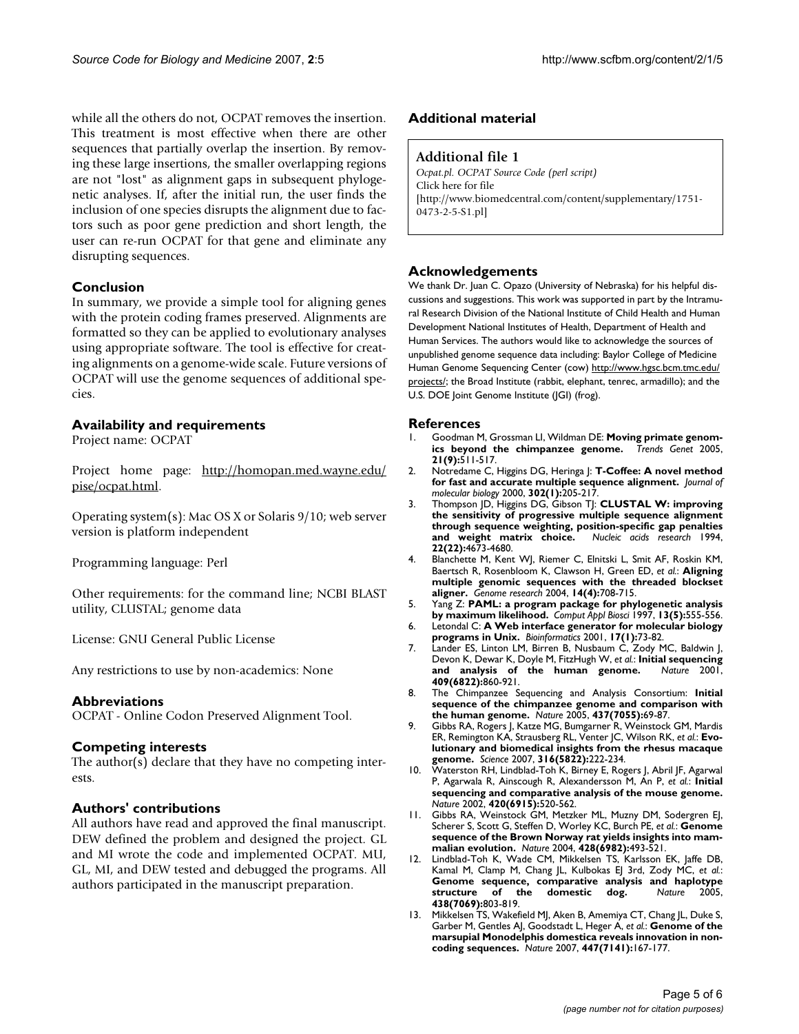while all the others do not, OCPAT removes the insertion. This treatment is most effective when there are other sequences that partially overlap the insertion. By removing these large insertions, the smaller overlapping regions are not "lost" as alignment gaps in subsequent phylogenetic analyses. If, after the initial run, the user finds the inclusion of one species disrupts the alignment due to factors such as poor gene prediction and short length, the user can re-run OCPAT for that gene and eliminate any disrupting sequences.

#### **Conclusion**

In summary, we provide a simple tool for aligning genes with the protein coding frames preserved. Alignments are formatted so they can be applied to evolutionary analyses using appropriate software. The tool is effective for creating alignments on a genome-wide scale. Future versions of OCPAT will use the genome sequences of additional species.

#### **Availability and requirements**

Project name: OCPAT

Project home page: [http://homopan.med.wayne.edu/](http://homopan.med.wayne.edu/pise/ocpat.html) [pise/ocpat.html](http://homopan.med.wayne.edu/pise/ocpat.html).

Operating system(s): Mac OS X or Solaris 9/10; web server version is platform independent

Programming language: Perl

Other requirements: for the command line; NCBI BLAST utility, CLUSTAL; genome data

License: GNU General Public License

Any restrictions to use by non-academics: None

#### **Abbreviations**

OCPAT - Online Codon Preserved Alignment Tool.

#### **Competing interests**

The author(s) declare that they have no competing interests.

#### **Authors' contributions**

All authors have read and approved the final manuscript. DEW defined the problem and designed the project. GL and MI wrote the code and implemented OCPAT. MU, GL, MI, and DEW tested and debugged the programs. All authors participated in the manuscript preparation.

#### **Additional material**

#### **Additional file 1**

*Ocpat.pl. OCPAT Source Code (perl script)* Click here for file [\[http://www.biomedcentral.com/content/supplementary/1751-](http://www.biomedcentral.com/content/supplementary/1751-0473-2-5-S1.pl) 0473-2-5-S1.pl]

#### **Acknowledgements**

We thank Dr. Juan C. Opazo (University of Nebraska) for his helpful discussions and suggestions. This work was supported in part by the Intramural Research Division of the National Institute of Child Health and Human Development National Institutes of Health, Department of Health and Human Services. The authors would like to acknowledge the sources of unpublished genome sequence data including: Baylor College of Medicine Human Genome Sequencing Center (cow) [http://www.hgsc.bcm.tmc.edu/](http://www.hgsc.bcm.tmc.edu/projects/) [projects/;](http://www.hgsc.bcm.tmc.edu/projects/) the Broad Institute (rabbit, elephant, tenrec, armadillo); and the U.S. DOE Joint Genome Institute (JGI) (frog).

#### **References**

- Goodman M, Grossman LI, Wildman DE: **Moving primate genomics beyond the chimpanzee genome.** Trends Genet 2005, [ics beyond the chimpanzee genome.](http://www.ncbi.nlm.nih.gov/entrez/query.fcgi?cmd=Retrieve&db=PubMed&dopt=Abstract&list_uids=16009448) **21(9):**511-517.
- 2. Notredame C, Higgins DG, Heringa J: **[T-Coffee: A novel method](http://www.ncbi.nlm.nih.gov/entrez/query.fcgi?cmd=Retrieve&db=PubMed&dopt=Abstract&list_uids=10964570) [for fast and accurate multiple sequence alignment.](http://www.ncbi.nlm.nih.gov/entrez/query.fcgi?cmd=Retrieve&db=PubMed&dopt=Abstract&list_uids=10964570)** *Journal of molecular biology* 2000, **302(1):**205-217.
- 3. Thompson JD, Higgins DG, Gibson TJ: **[CLUSTAL W: improving](http://www.ncbi.nlm.nih.gov/entrez/query.fcgi?cmd=Retrieve&db=PubMed&dopt=Abstract&list_uids=7984417) [the sensitivity of progressive multiple sequence alignment](http://www.ncbi.nlm.nih.gov/entrez/query.fcgi?cmd=Retrieve&db=PubMed&dopt=Abstract&list_uids=7984417) through sequence weighting, position-specific gap penalties** [and weight matrix choice.](http://www.ncbi.nlm.nih.gov/entrez/query.fcgi?cmd=Retrieve&db=PubMed&dopt=Abstract&list_uids=7984417) **22(22):**4673-4680.
- 4. Blanchette M, Kent WJ, Riemer C, Elnitski L, Smit AF, Roskin KM, Baertsch R, Rosenbloom K, Clawson H, Green ED, *et al.*: **[Aligning](http://www.ncbi.nlm.nih.gov/entrez/query.fcgi?cmd=Retrieve&db=PubMed&dopt=Abstract&list_uids=15060014) [multiple genomic sequences with the threaded blockset](http://www.ncbi.nlm.nih.gov/entrez/query.fcgi?cmd=Retrieve&db=PubMed&dopt=Abstract&list_uids=15060014) [aligner.](http://www.ncbi.nlm.nih.gov/entrez/query.fcgi?cmd=Retrieve&db=PubMed&dopt=Abstract&list_uids=15060014)** *Genome research* 2004, **14(4):**708-715.
- 5. Yang Z: **[PAML: a program package for phylogenetic analysis](http://www.ncbi.nlm.nih.gov/entrez/query.fcgi?cmd=Retrieve&db=PubMed&dopt=Abstract&list_uids=9367129) [by maximum likelihood.](http://www.ncbi.nlm.nih.gov/entrez/query.fcgi?cmd=Retrieve&db=PubMed&dopt=Abstract&list_uids=9367129)** *Comput Appl Biosci* 1997, **13(5):**555-556.
- 6. Letondal C: **[A Web interface generator for molecular biology](http://www.ncbi.nlm.nih.gov/entrez/query.fcgi?cmd=Retrieve&db=PubMed&dopt=Abstract&list_uids=11222264) [programs in Unix.](http://www.ncbi.nlm.nih.gov/entrez/query.fcgi?cmd=Retrieve&db=PubMed&dopt=Abstract&list_uids=11222264)** *Bioinformatics* 2001, **17(1):**73-82.
- 7. Lander ES, Linton LM, Birren B, Nusbaum C, Zody MC, Baldwin J, Devon K, Dewar K, Doyle M, FitzHugh W, *et al.*: **[Initial sequencing](http://www.ncbi.nlm.nih.gov/entrez/query.fcgi?cmd=Retrieve&db=PubMed&dopt=Abstract&list_uids=11237011)** [and analysis of the human genome.](http://www.ncbi.nlm.nih.gov/entrez/query.fcgi?cmd=Retrieve&db=PubMed&dopt=Abstract&list_uids=11237011) **409(6822):**860-921.
- 8. The Chimpanzee Sequencing and Analysis Consortium: **[Initial](http://www.ncbi.nlm.nih.gov/entrez/query.fcgi?cmd=Retrieve&db=PubMed&dopt=Abstract&list_uids=16136131) [sequence of the chimpanzee genome and comparison with](http://www.ncbi.nlm.nih.gov/entrez/query.fcgi?cmd=Retrieve&db=PubMed&dopt=Abstract&list_uids=16136131) [the human genome.](http://www.ncbi.nlm.nih.gov/entrez/query.fcgi?cmd=Retrieve&db=PubMed&dopt=Abstract&list_uids=16136131)** *Nature* 2005, **437(7055):**69-87.
- 9. Gibbs RA, Rogers J, Katze MG, Bumgarner R, Weinstock GM, Mardis ER, Remington KA, Strausberg RL, Venter JC, Wilson RK, *et al.*: **[Evo](http://www.ncbi.nlm.nih.gov/entrez/query.fcgi?cmd=Retrieve&db=PubMed&dopt=Abstract&list_uids=17431167)[lutionary and biomedical insights from the rhesus macaque](http://www.ncbi.nlm.nih.gov/entrez/query.fcgi?cmd=Retrieve&db=PubMed&dopt=Abstract&list_uids=17431167) [genome.](http://www.ncbi.nlm.nih.gov/entrez/query.fcgi?cmd=Retrieve&db=PubMed&dopt=Abstract&list_uids=17431167)** *Science* 2007, **316(5822):**222-234.
- 10. Waterston RH, Lindblad-Toh K, Birney E, Rogers J, Abril JF, Agarwal P, Agarwala R, Ainscough R, Alexandersson M, An P, *et al.*: **[Initial](http://www.ncbi.nlm.nih.gov/entrez/query.fcgi?cmd=Retrieve&db=PubMed&dopt=Abstract&list_uids=12466850) [sequencing and comparative analysis of the mouse genome.](http://www.ncbi.nlm.nih.gov/entrez/query.fcgi?cmd=Retrieve&db=PubMed&dopt=Abstract&list_uids=12466850)** *Nature* 2002, **420(6915):**520-562.
- 11. Gibbs RA, Weinstock GM, Metzker ML, Muzny DM, Sodergren EJ, Scherer S, Scott G, Steffen D, Worley KC, Burch PE, *et al.*: **[Genome](http://www.ncbi.nlm.nih.gov/entrez/query.fcgi?cmd=Retrieve&db=PubMed&dopt=Abstract&list_uids=15057822) [sequence of the Brown Norway rat yields insights into mam](http://www.ncbi.nlm.nih.gov/entrez/query.fcgi?cmd=Retrieve&db=PubMed&dopt=Abstract&list_uids=15057822)[malian evolution.](http://www.ncbi.nlm.nih.gov/entrez/query.fcgi?cmd=Retrieve&db=PubMed&dopt=Abstract&list_uids=15057822)** *Nature* 2004, **428(6982):**493-521.
- 12. Lindblad-Toh K, Wade CM, Mikkelsen TS, Karlsson EK, Jaffe DB, Kamal M, Clamp M, Chang JL, Kulbokas EJ 3rd, Zody MC, *et al.*: **[Genome sequence, comparative analysis and haplotype](http://www.ncbi.nlm.nih.gov/entrez/query.fcgi?cmd=Retrieve&db=PubMed&dopt=Abstract&list_uids=16341006) structure of the domestic dog.** Nature 2005, domestic dog. **438(7069):**803-819.
- 13. Mikkelsen TS, Wakefield MJ, Aken B, Amemiya CT, Chang JL, Duke S, Garber M, Gentles AJ, Goodstadt L, Heger A, *et al.*: **[Genome of the](http://www.ncbi.nlm.nih.gov/entrez/query.fcgi?cmd=Retrieve&db=PubMed&dopt=Abstract&list_uids=17495919) [marsupial Monodelphis domestica reveals innovation in non](http://www.ncbi.nlm.nih.gov/entrez/query.fcgi?cmd=Retrieve&db=PubMed&dopt=Abstract&list_uids=17495919)[coding sequences.](http://www.ncbi.nlm.nih.gov/entrez/query.fcgi?cmd=Retrieve&db=PubMed&dopt=Abstract&list_uids=17495919)** *Nature* 2007, **447(7141):**167-177.